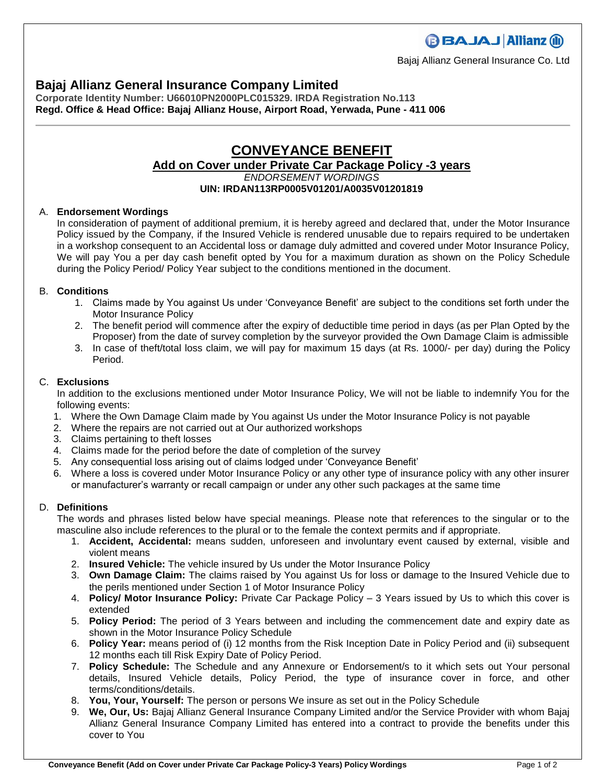## **Bajaj Allianz General Insurance Company Limited**

**Corporate Identity Number: U66010PN2000PLC015329. IRDA Registration No.113 Regd. Office & Head Office: Bajaj Allianz House, Airport Road, Yerwada, Pune - 411 006**

### **CONVEYANCE BENEFIT Add on Cover under Private Car Package Policy -3 years** *ENDORSEMENT WORDINGS* **UIN: IRDAN113RP0005V01201/A0035V01201819**

#### A. **Endorsement Wordings**

In consideration of payment of additional premium, it is hereby agreed and declared that, under the Motor Insurance Policy issued by the Company, if the Insured Vehicle is rendered unusable due to repairs required to be undertaken in a workshop consequent to an Accidental loss or damage duly admitted and covered under Motor Insurance Policy, We will pay You a per day cash benefit opted by You for a maximum duration as shown on the Policy Schedule during the Policy Period/ Policy Year subject to the conditions mentioned in the document.

#### B. **Conditions**

- 1. Claims made by You against Us under 'Conveyance Benefit' are subject to the conditions set forth under the Motor Insurance Policy
- 2. The benefit period will commence after the expiry of deductible time period in days (as per Plan Opted by the Proposer) from the date of survey completion by the surveyor provided the Own Damage Claim is admissible
- 3. In case of theft/total loss claim, we will pay for maximum 15 days (at Rs. 1000/- per day) during the Policy Period.

#### C. **Exclusions**

In addition to the exclusions mentioned under Motor Insurance Policy, We will not be liable to indemnify You for the following events:

- 1. Where the Own Damage Claim made by You against Us under the Motor Insurance Policy is not payable
- 2. Where the repairs are not carried out at Our authorized workshops
- 3. Claims pertaining to theft losses
- 4. Claims made for the period before the date of completion of the survey
- 5. Any consequential loss arising out of claims lodged under 'Conveyance Benefit'
- 6. Where a loss is covered under Motor Insurance Policy or any other type of insurance policy with any other insurer or manufacturer's warranty or recall campaign or under any other such packages at the same time

#### D. **Definitions**

The words and phrases listed below have special meanings. Please note that references to the singular or to the masculine also include references to the plural or to the female the context permits and if appropriate.

- 1. **Accident, Accidental:** means sudden, unforeseen and involuntary event caused by external, visible and violent means
- 2. **Insured Vehicle:** The vehicle insured by Us under the Motor Insurance Policy
- 3. **Own Damage Claim:** The claims raised by You against Us for loss or damage to the Insured Vehicle due to the perils mentioned under Section 1 of Motor Insurance Policy
- 4. **Policy/ Motor Insurance Policy:** Private Car Package Policy 3 Years issued by Us to which this cover is extended
- 5. **Policy Period:** The period of 3 Years between and including the commencement date and expiry date as shown in the Motor Insurance Policy Schedule
- 6. **Policy Year:** means period of (i) 12 months from the Risk Inception Date in Policy Period and (ii) subsequent 12 months each till Risk Expiry Date of Policy Period.
- 7. **Policy Schedule:** The Schedule and any Annexure or Endorsement/s to it which sets out Your personal details, Insured Vehicle details, Policy Period, the type of insurance cover in force, and other terms/conditions/details.
- 8. **You, Your, Yourself:** The person or persons We insure as set out in the Policy Schedule
- 9. **We, Our, Us:** Bajaj Allianz General Insurance Company Limited and/or the Service Provider with whom Bajaj Allianz General Insurance Company Limited has entered into a contract to provide the benefits under this cover to You

**BBAJAJ Allianz (ii)** 

Bajaj Allianz General Insurance Co. Ltd